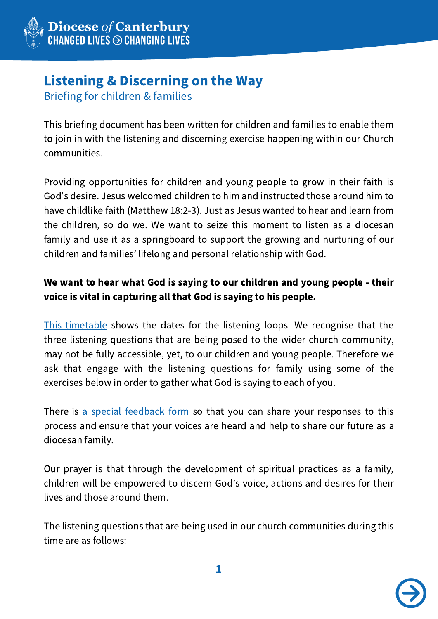

# Listening & Discerning on the Way

Briefing for children & families

This briefing document has been written for children and families to enable them to join in with the listening and discerning exercise happening within our Church communities.

Providing opportunities for children and young people to grow in their faith is God's desire. Jesus welcomed children to him and instructed those around him to have childlike faith (Matthew 18:2-3). Just as Jesus wanted to hear and learn from the children, so do we. We want to seize this moment to listen as a diocesan family and use it as a springboard to support the growing and nurturing of our children and families' lifelong and personal relationship with God.

## We want to hear what God is saying to our children and young people - their voice is vital in capturing all that God is saying to his people.

This [timetable](http://canterburydiocese.org/content/pages/documents/1595543174.pdf) shows the dates for the listening loops. We recognise that the three listening questions that are being posed to the wider church community, may not be fully accessible, yet, to our children and young people. Therefore we ask that engage with the listening questions for family using some of the exercises below in order to gather what God is saying to each of you.

There is a special [feedback](http://canterburydiocese.org/content/pages/documents/1595541269.docx) form so that you can share your responses to this process and ensure that your voices are heard and help to share our future as a diocesan family.

Our prayer is that through the development of spiritual practices as a family, children will be empowered to discern God's voice, actions and desires for their lives and those around them.

The listening questions that are being used in our church communities during this time are as follows:

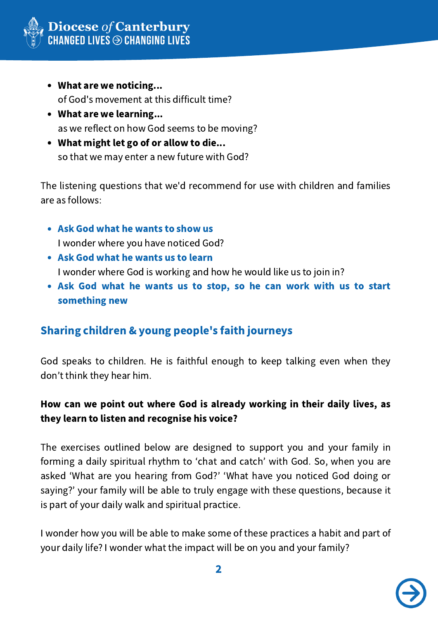

- What are we noticing... of God's movement at this difficult time?
- What are we learning... as we reflect on how God seems to be moving?
- What might let go of or allow to die... so that we may enter a new future with God?

The listening questions that we'd recommend for use with children and families are as follows:

- Ask God what he wants to show us I wonder where you have noticed God?
- Ask God what he wants us to learn I wonder where God is working and how he would like us to join in?
- Ask God what he wants us to stop, so he can work with us to start something new

# Sharing children & young people's faith journeys

God speaks to children. He is faithful enough to keep talking even when they don't think they hear him.

#### How can we point out where God is already working in their daily lives, as they learn to listen and recognise his voice?

The exercises outlined below are designed to support you and your family in forming a daily spiritual rhythm to ʻchat and catch' with God. So, when you are asked ʻWhat are you hearing from God?' ʻWhat have you noticed God doing or saying?' your family will be able to truly engage with these questions, because it is part of your daily walk and spiritual practice.

I wonder how you will be able to make some of these practices a habit and part of your daily life? I wonder what the impact will be on you and your family?

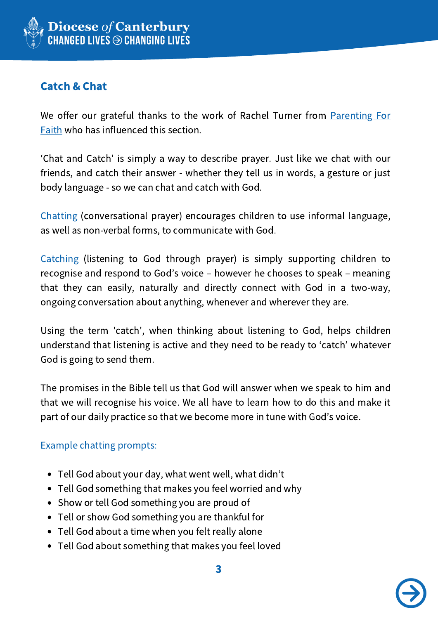

## Catch & Chat

We offer our grateful thanks to the work of Rachel Turner from **Parenting For** Faith who has [influenced](http://www.parentingforfaith.org/) this section.

ʻChat and Catch' is simply a way to describe prayer. Just like we chat with our friends, and catch their answer - whether they tell us in words, a gesture or just body language - so we can chat and catch with God.

Chatting (conversational prayer) encourages children to use informal language, as well as non-verbal forms, to communicate with God.

Catching (listening to God through prayer) is simply supporting children to recognise and respond to God's voice – however he chooses to speak – meaning that they can easily, naturally and directly connect with God in a two-way, ongoing conversation about anything, whenever and wherever they are.

Using the term 'catch', when thinking about listening to God, helps children understand that listening is active and they need to be ready to ʻcatch' whatever God is going to send them.

The promises in the Bible tell us that God will answer when we speak to him and that we will recognise his voice. We all have to learn how to do this and make it part of our daily practice so that we become more in tune with God's voice.

#### Example chatting prompts:

- Tell God about your day, what went well, what didn't
- Tell God something that makes you feel worried and why
- Show or tell God something you are proud of
- Tell or show God something you are thankful for
- Tell God about a time when you felt really alone
- Tell God about something that makes you feel loved

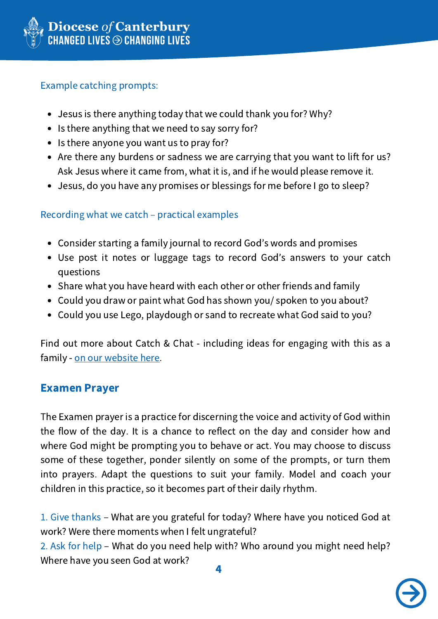

#### Example catching prompts:

- Jesus is there anything today that we could thank you for? Why?
- Is there anything that we need to say sorry for?
- Is there anyone you want us to pray for?
- Are there any burdens or sadness we are carrying that you want to lift for us? Ask Jesus where it came from, what it is, and if he would please remove it.
- Jesus, do you have any promises or blessings for me before I go to sleep?

#### Recording what we catch – practical examples

- Consider starting a family journal to record God's words and promises
- Use post it notes or luggage tags to record God's answers to your catch questions
- Share what you have heard with each other or other friends and family
- Could you draw or paint what God has shown you/ spoken to you about?
- Could you use Lego, playdough or sand to recreate what God said to you?

Find out more about Catch & Chat - including ideas for engaging with this as a family - on our [website](https://canterburydiocese.org/childrenandyoungpeople/growing-faith/nurturing-faith-at-home/chat-and-catch/) here.

## Examen Prayer

The Examen prayer is a practice for discerning the voice and activity of God within the flow of the day. It is a chance to reflect on the day and consider how and where God might be prompting you to behave or act. You may choose to discuss some of these together, ponder silently on some of the prompts, or turn them into prayers. Adapt the questions to suit your family. Model and coach your children in this practice, so it becomes part of their daily rhythm.

1. Give thanks – What are you grateful for today? Where have you noticed God at work? Were there moments when I felt ungrateful?

2. Ask for help – What do you need help with? Who around you might need help? Where have you seen God at work?

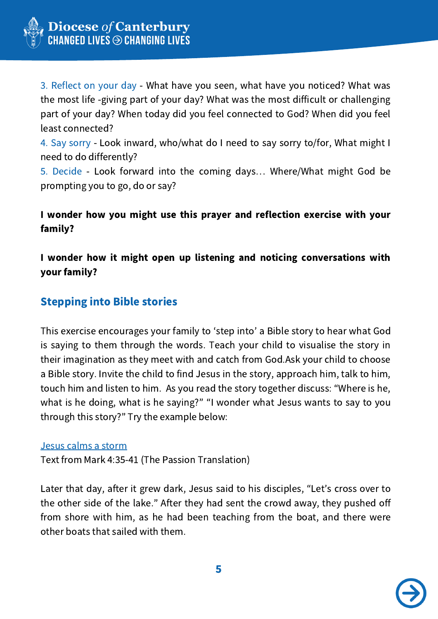

3. Reflect on your day - What have you seen, what have you noticed? What was the most life -giving part of your day? What was the most difficult or challenging part of your day? When today did you feel connected to God? When did you feel least connected?

4. Say sorry - Look inward, who/what do I need to say sorry to/for, What might I need to do differently?

5. Decide - Look forward into the coming days… Where/What might God be prompting you to go, do or say?

#### I wonder how you might use this prayer and reflection exercise with your family?

I wonder how it might open up listening and noticing conversations with your family?

## Stepping into Bible stories

This exercise encourages your family to ʻstep into' a Bible story to hear what God is saying to them through the words. Teach your child to visualise the story in their imagination as they meet with and catch from God.Ask your child to choose a Bible story. Invite the child to find Jesus in the story, approach him, talk to him, touch him and listen to him. As you read the story together discuss: "Where is he, what is he doing, what is he saying?" "I wonder what Jesus wants to say to you through this story?" Try the example below:

#### Jesus calms a storm

Text from Mark 4:35-41 (The Passion Translation)

Later that day, after it grew dark, Jesus said to his disciples, "Let's cross over to the other side of the lake." After they had sent the crowd away, they pushed off from shore with him, as he had been teaching from the boat, and there were other boats that sailed with them.